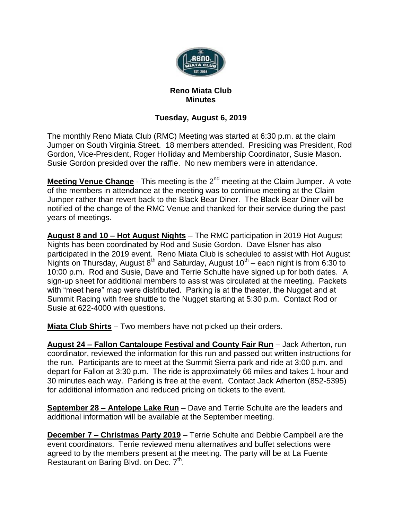

## **Reno Miata Club Minutes**

## **Tuesday, August 6, 2019**

The monthly Reno Miata Club (RMC) Meeting was started at 6:30 p.m. at the claim Jumper on South Virginia Street. 18 members attended. Presiding was President, Rod Gordon, Vice-President, Roger Holliday and Membership Coordinator, Susie Mason. Susie Gordon presided over the raffle. No new members were in attendance.

**Meeting Venue Change** - This meeting is the 2<sup>nd</sup> meeting at the Claim Jumper. A vote of the members in attendance at the meeting was to continue meeting at the Claim Jumper rather than revert back to the Black Bear Diner. The Black Bear Diner will be notified of the change of the RMC Venue and thanked for their service during the past years of meetings.

**August 8 and 10 – Hot August Nights** – The RMC participation in 2019 Hot August Nights has been coordinated by Rod and Susie Gordon. Dave Elsner has also participated in the 2019 event. Reno Miata Club is scheduled to assist with Hot August Nights on Thursday, August 8<sup>th</sup> and Saturday, August 10<sup>th</sup> – each night is from 6:30 to 10:00 p.m. Rod and Susie, Dave and Terrie Schulte have signed up for both dates. A sign-up sheet for additional members to assist was circulated at the meeting. Packets with "meet here" map were distributed. Parking is at the theater, the Nugget and at Summit Racing with free shuttle to the Nugget starting at 5:30 p.m. Contact Rod or Susie at 622-4000 with questions.

**Miata Club Shirts** – Two members have not picked up their orders.

**August 24 – Fallon Cantaloupe Festival and County Fair Run** – Jack Atherton, run coordinator, reviewed the information for this run and passed out written instructions for the run. Participants are to meet at the Summit Sierra park and ride at 3:00 p.m. and depart for Fallon at 3:30 p.m. The ride is approximately 66 miles and takes 1 hour and 30 minutes each way. Parking is free at the event. Contact Jack Atherton (852-5395) for additional information and reduced pricing on tickets to the event.

**September 28 – Antelope Lake Run** – Dave and Terrie Schulte are the leaders and additional information will be available at the September meeting.

**December 7 – Christmas Party 2019** – Terrie Schulte and Debbie Campbell are the event coordinators. Terrie reviewed menu alternatives and buffet selections were agreed to by the members present at the meeting. The party will be at La Fuente Restaurant on Baring Blvd. on Dec. 7<sup>th</sup>.